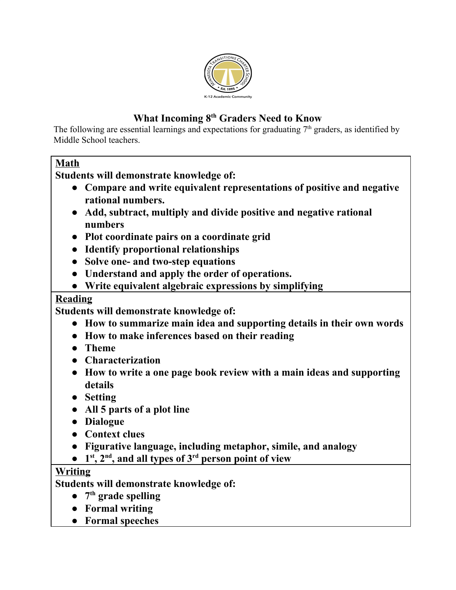

# **What Incoming 8 th Graders Need to Know**

The following are essential learnings and expectations for graduating  $7<sup>th</sup>$  graders, as identified by Middle School teachers.

### **Math**

**Students will demonstrate knowledge of:**

- **● Compare and write equivalent representations of positive and negative rational numbers.**
- **● Add, subtract, multiply and divide positive and negative rational numbers**
- **● Plot coordinate pairs on a coordinate grid**
- **● Identify proportional relationships**
- **● Solve one- and two-step equations**
- **● Understand and apply the order of operations.**
- **● Write equivalent algebraic expressions by simplifying**

#### **Reading**

**Students will demonstrate knowledge of:**

- **● How to summarize main idea and supporting details in their own words**
- **● How to make inferences based on their reading**
- **● Theme**
- **● Characterization**
- **● How to write a one page book review with a main ideas and supporting details**
- **● Setting**
- **● All 5 parts of a plot line**
- **● Dialogue**
- **● Context clues**
- **● Figurative language, including metaphor, simile, and analogy**
- **● 1 st , 2 nd , and all types of 3 rd person point of view**

## **Writing**

**Students will demonstrate knowledge of:**

- **● 7 th grade spelling**
- **● Formal writing**
- **● Formal speeches**